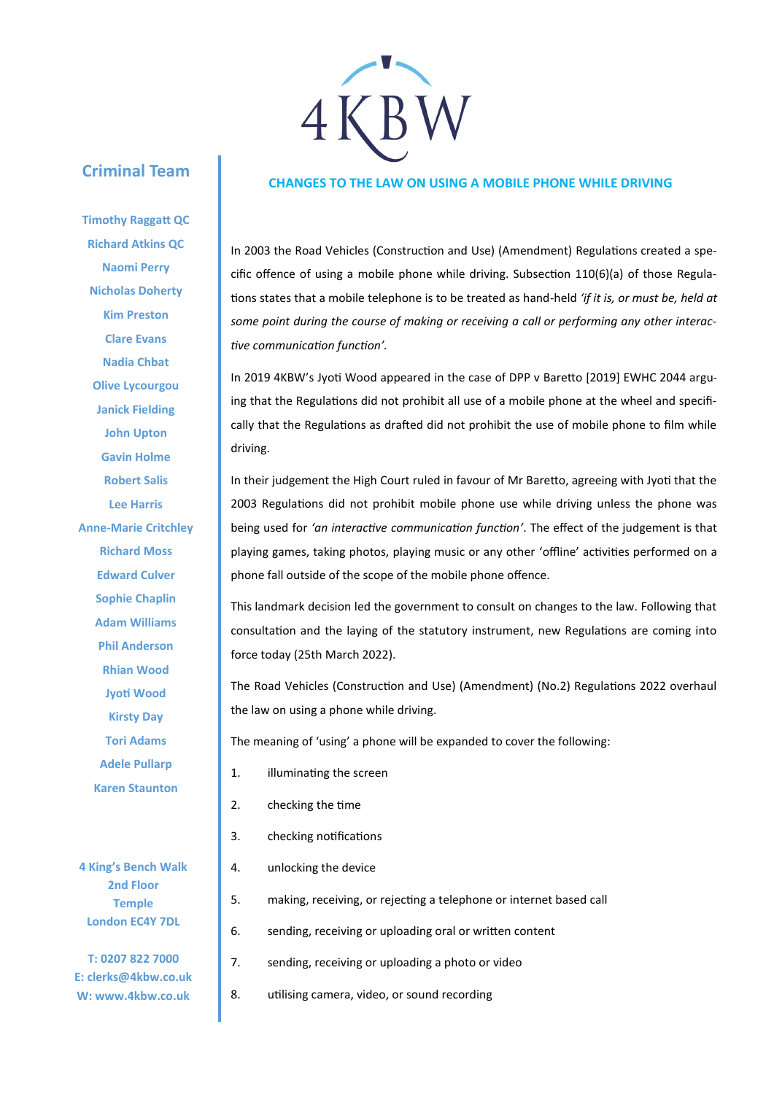## KBW

## **CHANGES TO THE LAW ON USING A MOBILE PHONE WHILE DRIVING**

In 2003 the Road Vehicles (Construction and Use) (Amendment) Regulations created a specific offence of using a mobile phone while driving. Subsection 110(6)(a) of those Regulations states that a mobile telephone is to be treated as hand-held *'if it is, or must be, held at some point during the course of making or receiving a call or performing any other interactive communication function'.* 

In 2019 4KBW's Jyoti Wood appeared in the case of DPP v Baretto [2019] EWHC 2044 arguing that the Regulations did not prohibit all use of a mobile phone at the wheel and specifically that the Regulations as drafted did not prohibit the use of mobile phone to film while driving.

In their judgement the High Court ruled in favour of Mr Baretto, agreeing with Jyoti that the 2003 Regulations did not prohibit mobile phone use while driving unless the phone was being used for *'an interactive communication function'*. The effect of the judgement is that playing games, taking photos, playing music or any other 'offline' activities performed on a phone fall outside of the scope of the mobile phone offence.

This landmark decision led the government to consult on changes to the law. Following that consultation and the laying of the statutory instrument, new Regulations are coming into force today (25th March 2022).

The Road Vehicles (Construction and Use) (Amendment) (No.2) Regulations 2022 overhaul the law on using a phone while driving.

The meaning of 'using' a phone will be expanded to cover the following:

- 1. illuminating the screen
- 2. checking the time
- 3. checking notifications
- 4. unlocking the device
- 5. making, receiving, or rejecting a telephone or internet based call
- 6. sending, receiving or uploading oral or written content
- 7. sending, receiving or uploading a photo or video
- 8. utilising camera, video, or sound recording

**Richard Atkins QC Naomi Perry Nicholas Doherty Kim Preston Clare Evans Nadia Chbat Olive Lycourgou Janick Fielding John Upton Gavin Holme Robert Salis Lee Harris Anne-Marie Critchley Richard Moss Edward Culver Sophie Chaplin Adam Williams Phil Anderson Rhian Wood Jyoti Wood Kirsty Day Tori Adams Adele Pullarp Karen Staunton**

**Criminal Team**

**Timothy Raggatt QC**

**4 King's Bench Walk 2nd Floor Temple London EC4Y 7DL**

**T: 0207 822 7000 E: clerks@4kbw.co.uk W: www.4kbw.co.uk**